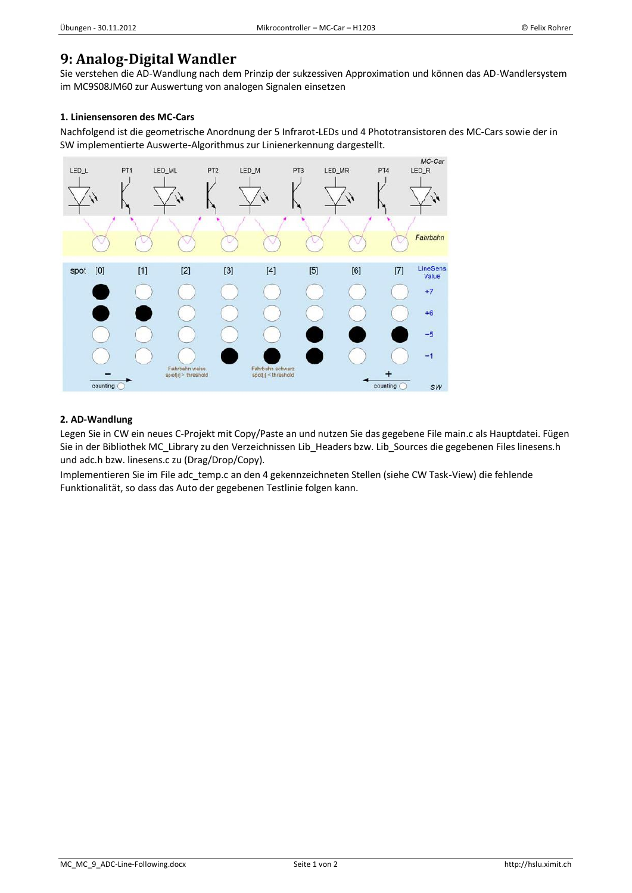## **9: Analog-Digital Wandler**

Sie verstehen die AD-Wandlung nach dem Prinzip der sukzessiven Approximation und können das AD-Wandlersystem im MC9S08JM60 zur Auswertung von analogen Signalen einsetzen

## **1. Liniensensoren des MC-Cars**

Nachfolgend ist die geometrische Anordnung der 5 Infrarot-LEDs und 4 Phototransistoren des MC-Cars sowie der in SW implementierte Auswerte-Algorithmus zur Linienerkennung dargestellt.



## **2. AD-Wandlung**

Legen Sie in CW ein neues C-Projekt mit Copy/Paste an und nutzen Sie das gegebene File main.c als Hauptdatei. Fügen Sie in der Bibliothek MC\_Library zu den Verzeichnissen Lib\_Headers bzw. Lib\_Sources die gegebenen Files linesens.h und adc.h bzw. linesens.c zu (Drag/Drop/Copy).

Implementieren Sie im File adc\_temp.c an den 4 gekennzeichneten Stellen (siehe CW Task-View) die fehlende Funktionalität, so dass das Auto der gegebenen Testlinie folgen kann.